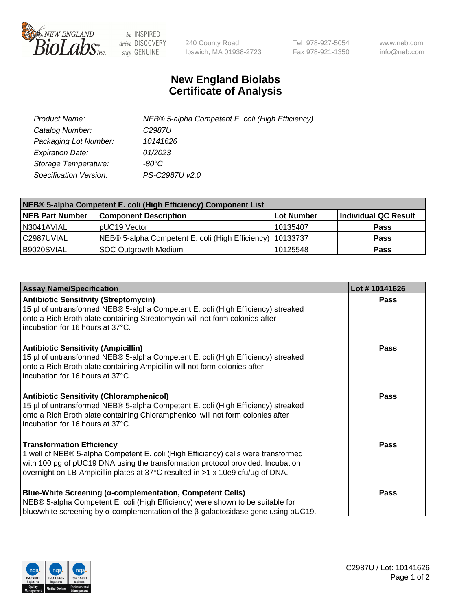

 $be$  INSPIRED drive DISCOVERY stay GENUINE

240 County Road Ipswich, MA 01938-2723 Tel 978-927-5054 Fax 978-921-1350 www.neb.com info@neb.com

## **New England Biolabs Certificate of Analysis**

| Product Name:                 | NEB® 5-alpha Competent E. coli (High Efficiency) |
|-------------------------------|--------------------------------------------------|
| Catalog Number:               | C <sub>2987</sub> U                              |
| Packaging Lot Number:         | 10141626                                         |
| <b>Expiration Date:</b>       | 01/2023                                          |
| Storage Temperature:          | -80°C                                            |
| <b>Specification Version:</b> | PS-C2987U v2.0                                   |

| NEB® 5-alpha Competent E. coli (High Efficiency) Component List |                                                             |            |                      |  |
|-----------------------------------------------------------------|-------------------------------------------------------------|------------|----------------------|--|
| <b>NEB Part Number</b>                                          | <b>Component Description</b>                                | Lot Number | Individual QC Result |  |
| N3041AVIAL                                                      | pUC19 Vector                                                | 10135407   | <b>Pass</b>          |  |
| C2987UVIAL                                                      | NEB® 5-alpha Competent E. coli (High Efficiency)   10133737 |            | <b>Pass</b>          |  |
| B9020SVIAL                                                      | SOC Outgrowth Medium                                        | 10125548   | <b>Pass</b>          |  |

| <b>Assay Name/Specification</b>                                                                                                                                                                                                                                                            | Lot #10141626 |
|--------------------------------------------------------------------------------------------------------------------------------------------------------------------------------------------------------------------------------------------------------------------------------------------|---------------|
| <b>Antibiotic Sensitivity (Streptomycin)</b><br>15 µl of untransformed NEB® 5-alpha Competent E. coli (High Efficiency) streaked<br>onto a Rich Broth plate containing Streptomycin will not form colonies after<br>incubation for 16 hours at 37°C.                                       | <b>Pass</b>   |
| <b>Antibiotic Sensitivity (Ampicillin)</b><br>15 µl of untransformed NEB® 5-alpha Competent E. coli (High Efficiency) streaked<br>onto a Rich Broth plate containing Ampicillin will not form colonies after<br>incubation for 16 hours at 37°C.                                           | Pass          |
| <b>Antibiotic Sensitivity (Chloramphenicol)</b><br>15 µl of untransformed NEB® 5-alpha Competent E. coli (High Efficiency) streaked<br>onto a Rich Broth plate containing Chloramphenicol will not form colonies after<br>incubation for 16 hours at 37°C.                                 | Pass          |
| <b>Transformation Efficiency</b><br>1 well of NEB® 5-alpha Competent E. coli (High Efficiency) cells were transformed<br>with 100 pg of pUC19 DNA using the transformation protocol provided. Incubation<br>overnight on LB-Ampicillin plates at 37°C resulted in >1 x 10e9 cfu/µg of DNA. | <b>Pass</b>   |
| Blue-White Screening (α-complementation, Competent Cells)<br>NEB® 5-alpha Competent E. coli (High Efficiency) were shown to be suitable for<br>blue/white screening by $\alpha$ -complementation of the $\beta$ -galactosidase gene using pUC19.                                           | Pass          |